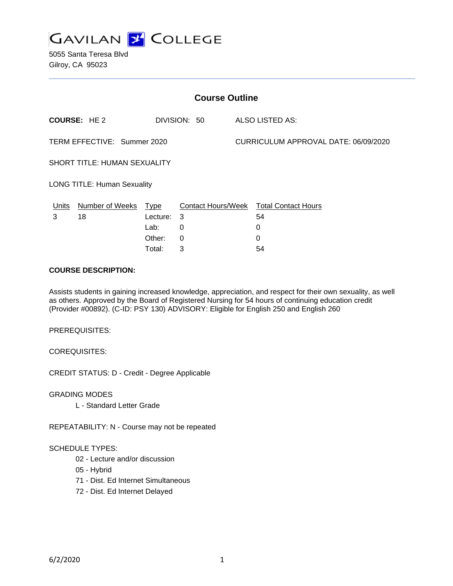

| <b>Course Outline</b>               |                    |             |                           |                                      |                            |
|-------------------------------------|--------------------|-------------|---------------------------|--------------------------------------|----------------------------|
|                                     | <b>COURSE: HE2</b> |             | DIVISION: 50              |                                      | ALSO LISTED AS:            |
| TERM EFFECTIVE: Summer 2020         |                    |             |                           | CURRICULUM APPROVAL DATE: 06/09/2020 |                            |
| <b>SHORT TITLE: HUMAN SEXUALITY</b> |                    |             |                           |                                      |                            |
| <b>LONG TITLE: Human Sexuality</b>  |                    |             |                           |                                      |                            |
| Units                               | Number of Weeks    | <b>Type</b> | <b>Contact Hours/Week</b> |                                      | <b>Total Contact Hours</b> |
| 3                                   | 18                 | Lecture:    | 3                         |                                      | 54                         |
|                                     |                    | Lab:        | 0                         |                                      | 0                          |
|                                     |                    | Other:      | 0                         |                                      | $\Omega$                   |
|                                     |                    | Total:      | 3                         |                                      | 54                         |

#### **COURSE DESCRIPTION:**

Assists students in gaining increased knowledge, appreciation, and respect for their own sexuality, as well as others. Approved by the Board of Registered Nursing for 54 hours of continuing education credit (Provider #00892). (C-ID: PSY 130) ADVISORY: Eligible for English 250 and English 260

PREREQUISITES:

COREQUISITES:

CREDIT STATUS: D - Credit - Degree Applicable

GRADING MODES

L - Standard Letter Grade

REPEATABILITY: N - Course may not be repeated

#### SCHEDULE TYPES:

- 02 Lecture and/or discussion
- 05 Hybrid
- 71 Dist. Ed Internet Simultaneous
- 72 Dist. Ed Internet Delayed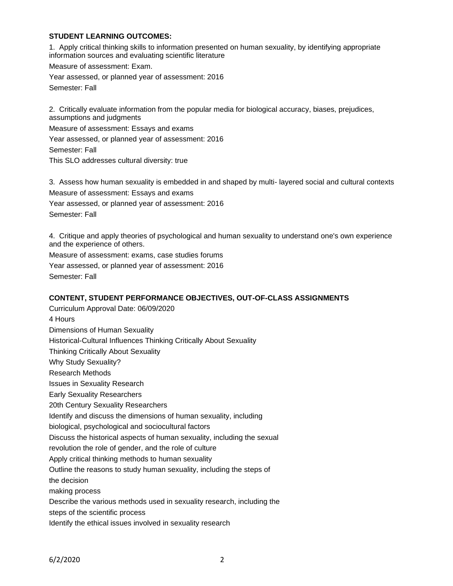## **STUDENT LEARNING OUTCOMES:**

1. Apply critical thinking skills to information presented on human sexuality, by identifying appropriate information sources and evaluating scientific literature Measure of assessment: Exam. Year assessed, or planned year of assessment: 2016 Semester: Fall

2. Critically evaluate information from the popular media for biological accuracy, biases, prejudices, assumptions and judgments Measure of assessment: Essays and exams Year assessed, or planned year of assessment: 2016 Semester: Fall This SLO addresses cultural diversity: true

3. Assess how human sexuality is embedded in and shaped by multi- layered social and cultural contexts Measure of assessment: Essays and exams Year assessed, or planned year of assessment: 2016 Semester: Fall

4. Critique and apply theories of psychological and human sexuality to understand one's own experience and the experience of others.

Measure of assessment: exams, case studies forums Year assessed, or planned year of assessment: 2016 Semester: Fall

## **CONTENT, STUDENT PERFORMANCE OBJECTIVES, OUT-OF-CLASS ASSIGNMENTS**

Curriculum Approval Date: 06/09/2020 4 Hours Dimensions of Human Sexuality Historical-Cultural Influences Thinking Critically About Sexuality Thinking Critically About Sexuality Why Study Sexuality? Research Methods Issues in Sexuality Research Early Sexuality Researchers 20th Century Sexuality Researchers Identify and discuss the dimensions of human sexuality, including biological, psychological and sociocultural factors Discuss the historical aspects of human sexuality, including the sexual revolution the role of gender, and the role of culture Apply critical thinking methods to human sexuality Outline the reasons to study human sexuality, including the steps of the decision making process Describe the various methods used in sexuality research, including the steps of the scientific process Identify the ethical issues involved in sexuality research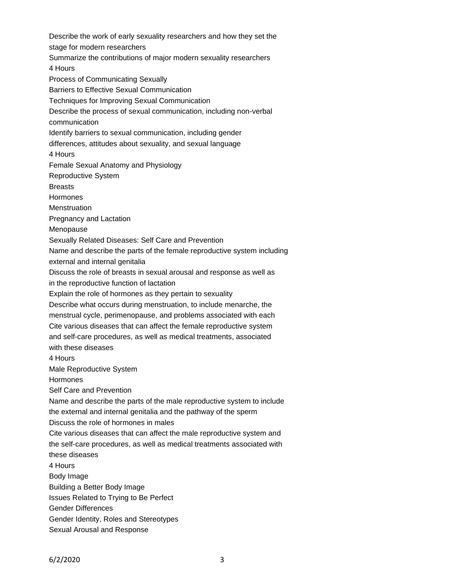Describe the work of early sexuality researchers and how they set the stage for modern researchers Summarize the contributions of major modern sexuality researchers 4 Hours Process of Communicating Sexually Barriers to Effective Sexual Communication Techniques for Improving Sexual Communication Describe the process of sexual communication, including non-verbal communication Identify barriers to sexual communication, including gender differences, attitudes about sexuality, and sexual language 4 Hours Female Sexual Anatomy and Physiology Reproductive System Breasts Hormones **Menstruation** Pregnancy and Lactation Menopause Sexually Related Diseases: Self Care and Prevention Name and describe the parts of the female reproductive system including external and internal genitalia Discuss the role of breasts in sexual arousal and response as well as in the reproductive function of lactation Explain the role of hormones as they pertain to sexuality Describe what occurs during menstruation, to include menarche, the menstrual cycle, perimenopause, and problems associated with each Cite various diseases that can affect the female reproductive system and self-care procedures, as well as medical treatments, associated with these diseases 4 Hours Male Reproductive System Hormones Self Care and Prevention Name and describe the parts of the male reproductive system to include the external and internal genitalia and the pathway of the sperm Discuss the role of hormones in males Cite various diseases that can affect the male reproductive system and the self-care procedures, as well as medical treatments associated with these diseases 4 Hours Body Image Building a Better Body Image Issues Related to Trying to Be Perfect Gender Differences Gender Identity, Roles and Stereotypes Sexual Arousal and Response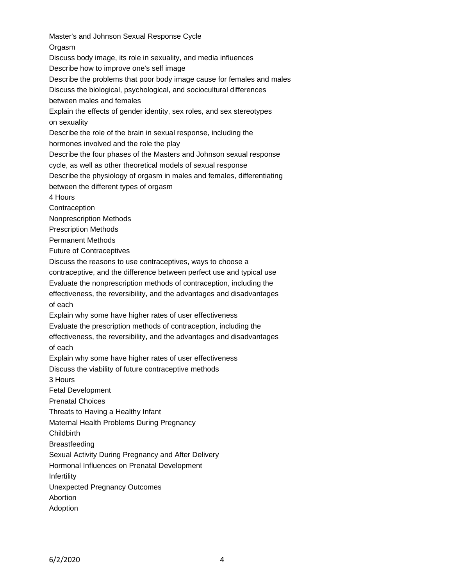Master's and Johnson Sexual Response Cycle **Orgasm** Discuss body image, its role in sexuality, and media influences Describe how to improve one's self image Describe the problems that poor body image cause for females and males Discuss the biological, psychological, and sociocultural differences between males and females Explain the effects of gender identity, sex roles, and sex stereotypes on sexuality Describe the role of the brain in sexual response, including the hormones involved and the role the play Describe the four phases of the Masters and Johnson sexual response cycle, as well as other theoretical models of sexual response Describe the physiology of orgasm in males and females, differentiating between the different types of orgasm 4 Hours **Contraception** Nonprescription Methods Prescription Methods Permanent Methods Future of Contraceptives Discuss the reasons to use contraceptives, ways to choose a contraceptive, and the difference between perfect use and typical use Evaluate the nonprescription methods of contraception, including the effectiveness, the reversibility, and the advantages and disadvantages of each Explain why some have higher rates of user effectiveness Evaluate the prescription methods of contraception, including the effectiveness, the reversibility, and the advantages and disadvantages of each Explain why some have higher rates of user effectiveness Discuss the viability of future contraceptive methods 3 Hours Fetal Development Prenatal Choices Threats to Having a Healthy Infant Maternal Health Problems During Pregnancy **Childbirth** Breastfeeding Sexual Activity During Pregnancy and After Delivery Hormonal Influences on Prenatal Development Infertility Unexpected Pregnancy Outcomes Abortion Adoption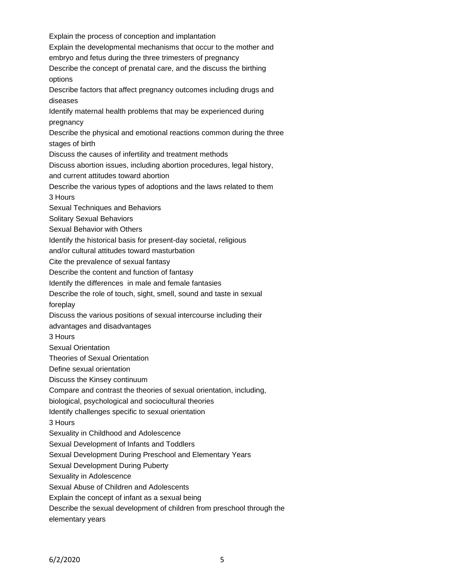Explain the process of conception and implantation Explain the developmental mechanisms that occur to the mother and embryo and fetus during the three trimesters of pregnancy Describe the concept of prenatal care, and the discuss the birthing options Describe factors that affect pregnancy outcomes including drugs and diseases Identify maternal health problems that may be experienced during pregnancy Describe the physical and emotional reactions common during the three stages of birth Discuss the causes of infertility and treatment methods Discuss abortion issues, including abortion procedures, legal history, and current attitudes toward abortion Describe the various types of adoptions and the laws related to them 3 Hours Sexual Techniques and Behaviors Solitary Sexual Behaviors Sexual Behavior with Others Identify the historical basis for present-day societal, religious and/or cultural attitudes toward masturbation Cite the prevalence of sexual fantasy Describe the content and function of fantasy Identify the differences in male and female fantasies Describe the role of touch, sight, smell, sound and taste in sexual foreplay Discuss the various positions of sexual intercourse including their advantages and disadvantages 3 Hours Sexual Orientation Theories of Sexual Orientation Define sexual orientation Discuss the Kinsey continuum Compare and contrast the theories of sexual orientation, including, biological, psychological and sociocultural theories Identify challenges specific to sexual orientation 3 Hours Sexuality in Childhood and Adolescence Sexual Development of Infants and Toddlers Sexual Development During Preschool and Elementary Years Sexual Development During Puberty Sexuality in Adolescence Sexual Abuse of Children and Adolescents Explain the concept of infant as a sexual being Describe the sexual development of children from preschool through the elementary years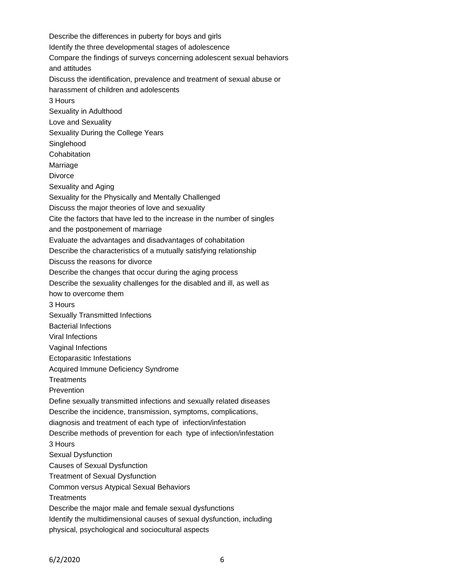Describe the differences in puberty for boys and girls Identify the three developmental stages of adolescence Compare the findings of surveys concerning adolescent sexual behaviors and attitudes Discuss the identification, prevalence and treatment of sexual abuse or harassment of children and adolescents 3 Hours Sexuality in Adulthood Love and Sexuality Sexuality During the College Years Singlehood **Cohabitation** Marriage **Divorce** Sexuality and Aging Sexuality for the Physically and Mentally Challenged Discuss the major theories of love and sexuality Cite the factors that have led to the increase in the number of singles and the postponement of marriage Evaluate the advantages and disadvantages of cohabitation Describe the characteristics of a mutually satisfying relationship Discuss the reasons for divorce Describe the changes that occur during the aging process Describe the sexuality challenges for the disabled and ill, as well as how to overcome them 3 Hours Sexually Transmitted Infections Bacterial Infections Viral Infections Vaginal Infections Ectoparasitic Infestations Acquired Immune Deficiency Syndrome **Treatments** Prevention Define sexually transmitted infections and sexually related diseases Describe the incidence, transmission, symptoms, complications, diagnosis and treatment of each type of infection/infestation Describe methods of prevention for each type of infection/infestation 3 Hours Sexual Dysfunction Causes of Sexual Dysfunction Treatment of Sexual Dysfunction Common versus Atypical Sexual Behaviors **Treatments** Describe the major male and female sexual dysfunctions Identify the multidimensional causes of sexual dysfunction, including physical, psychological and sociocultural aspects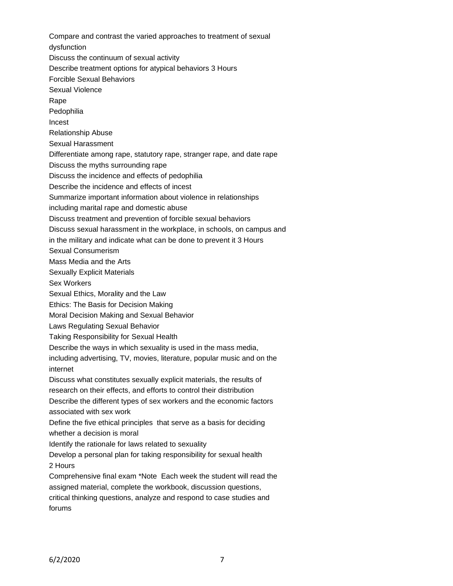Compare and contrast the varied approaches to treatment of sexual dysfunction Discuss the continuum of sexual activity Describe treatment options for atypical behaviors 3 Hours Forcible Sexual Behaviors Sexual Violence Rape Pedophilia Incest Relationship Abuse Sexual Harassment Differentiate among rape, statutory rape, stranger rape, and date rape Discuss the myths surrounding rape Discuss the incidence and effects of pedophilia Describe the incidence and effects of incest Summarize important information about violence in relationships including marital rape and domestic abuse Discuss treatment and prevention of forcible sexual behaviors Discuss sexual harassment in the workplace, in schools, on campus and in the military and indicate what can be done to prevent it 3 Hours Sexual Consumerism Mass Media and the Arts Sexually Explicit Materials Sex Workers Sexual Ethics, Morality and the Law Ethics: The Basis for Decision Making Moral Decision Making and Sexual Behavior Laws Regulating Sexual Behavior Taking Responsibility for Sexual Health Describe the ways in which sexuality is used in the mass media, including advertising, TV, movies, literature, popular music and on the internet Discuss what constitutes sexually explicit materials, the results of research on their effects, and efforts to control their distribution Describe the different types of sex workers and the economic factors associated with sex work Define the five ethical principles that serve as a basis for deciding whether a decision is moral Identify the rationale for laws related to sexuality Develop a personal plan for taking responsibility for sexual health 2 Hours Comprehensive final exam \*Note Each week the student will read the assigned material, complete the workbook, discussion questions, critical thinking questions, analyze and respond to case studies and forums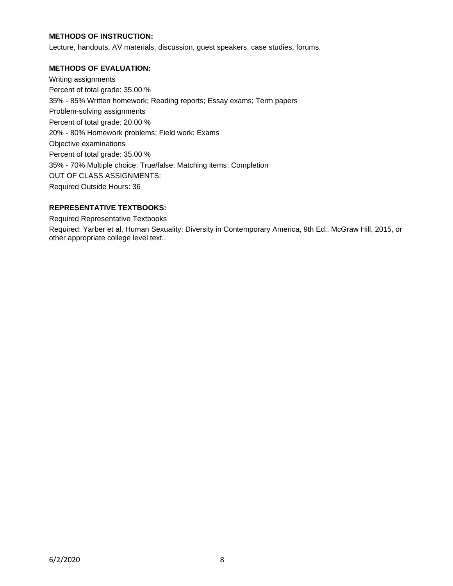## **METHODS OF INSTRUCTION:**

Lecture, handouts, AV materials, discussion, guest speakers, case studies, forums.

#### **METHODS OF EVALUATION:**

Writing assignments Percent of total grade: 35.00 % 35% - 85% Written homework; Reading reports; Essay exams; Term papers Problem-solving assignments Percent of total grade: 20.00 % 20% - 80% Homework problems; Field work; Exams Objective examinations Percent of total grade: 35.00 % 35% - 70% Multiple choice; True/false; Matching items; Completion OUT OF CLASS ASSIGNMENTS: Required Outside Hours: 36

## **REPRESENTATIVE TEXTBOOKS:**

Required Representative Textbooks

Required: Yarber et al, Human Sexuality: Diversity in Contemporary America, 9th Ed., McGraw Hill, 2015, or other appropriate college level text..